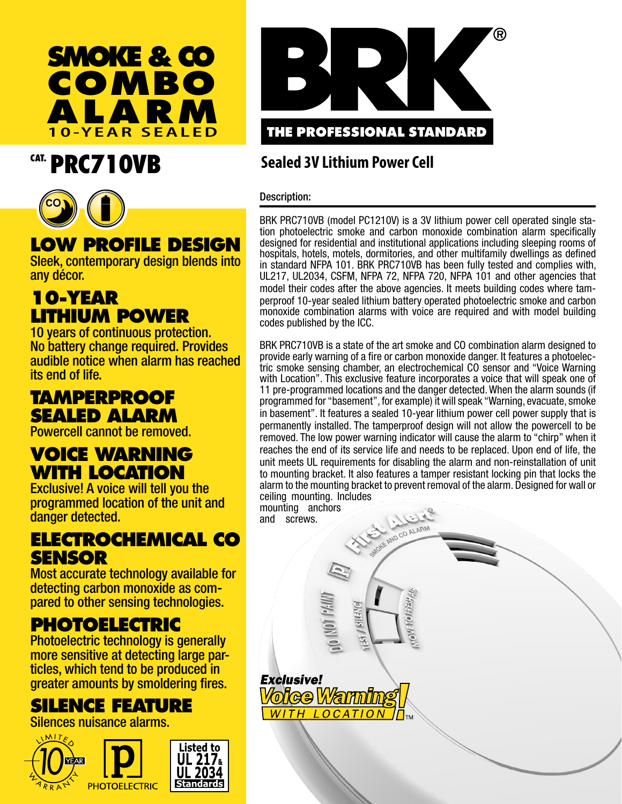

# CAT. PRC710VB



# **LOW PROFILE DESIGN**

Sleek, contemporary design blends into any décor.

## **10-YEAR LITHIUM POWER**

10 years of continuous protection. No battery change required. Provides audible notice when alarm has reached its end of life.

## **TAMPERPROOF SEALED ALARM**

Powercell cannot be removed.

## **VOICE WARNING WITH LOCATION**

Exclusive! A voice will tell you the programmed location of the unit and danger detected.

### **ELECTROCHEMICAL CO SENSOR**

Most accurate technology available for detecting carbon monoxide as compared to other sensing technologies.

## **PHOTOELECTRIC**

Photoelectric technology is generally more sensitive at detecting large particles, which tend to be produced in greater amounts by smoldering fires.

# **SILENCE FEATURE**

Silences nuisance alarms.





### **Sealed 3V Lithium Power Cell**

Description:

BRK PRC710VB (model PC1210V) is a 3V lithium power cell operated single station photoelectric smoke and carbon monoxide combination alarm specifically designed for residential and institutional applications including sleeping rooms of hospitals, hotels, motels, dormitories, and other multifamily dwellings as defined in standard NFPA 101. BRK PRC710VB has been fully tested and complies with, UL217, UL2034, CSFM, NFPA 72, NFPA 720, NFPA 101 and other agencies that model their codes after the above agencies. It meets building codes where tamperproof 10-year sealed lithium battery operated photoelectric smoke and carbon monoxide combination alarms with voice are required and with model building codes published by the ICC.

BRK PRC710VB is a state of the art smoke and CO combination alarm designed to provide early warning of a fire or carbon monoxide danger. It features a photoelectric smoke sensing chamber, an electrochemical CO sensor and "Voice Warning with Location". This exclusive feature incorporates a voice that will speak one of 11 pre-programmed locations and the danger detected. When the alarm sounds (if programmed for "basement", for example) it will speak "Warning, evacuate, smoke in basement". It features a sealed 10-year lithium power cell power supply that is permanently installed. The tamperproof design will not allow the powercell to be removed. The low power warning indicator will cause the alarm to "chirp" when it reaches the end of its service life and needs to be replaced. Upon end of life, the unit meets UL requirements for disabling the alarm and non-reinstallation of unit to mounting bracket. It also features a tamper resistant locking pin that locks the alarm to the mounting bracket to prevent removal of the alarm. Designed for wall or ceiling mounting. Includes VER

SNOKE AND CO ALARM

 $\frac{1}{2}$  (a)  $\frac{1}{2}$  (a)  $\frac{1}{2}$ 

mounting anchors and screws.



**SILENG:** 

 $\overline{\mathbf{A}}$